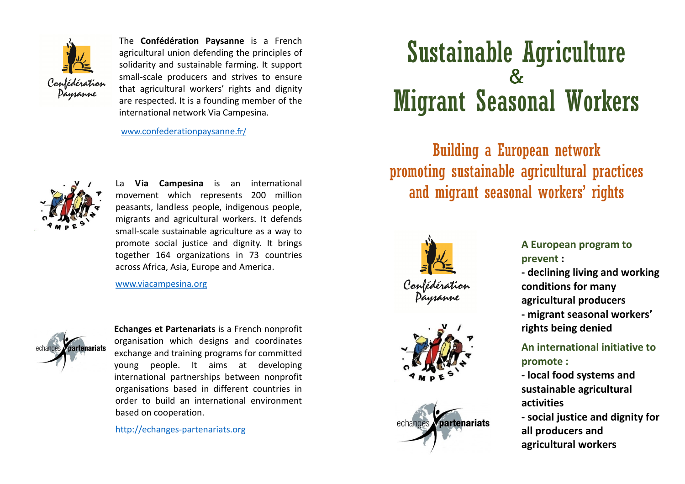

The Confédération Paysanne is a French agricultural union defending the principles of solidarity and sustainable farming. It support small-scale producers and strives to ensure that agricultural workers' rights and dignity are respected. It is a founding member of the international network Via Campesina.

www.confederationpaysanne.fr/



La Via Campesina is an international movement which represents 200 million peasants, landless people, indigenous people, migrants and agricultural workers. It defends small-scale sustainable agriculture as a way to promote social justice and dignity. It brings together 164 organizations in 73 countries across Africa, Asia, Europe and America.

www.viacampesina.org



Echanges et Partenariats is a French nonprofit organisation which designs and coordinates exchange and training programs for committed young people. It aims at developing international partnerships between nonprofit organisations based in different countries in order to build an international environment based on cooperation.

http://echanges-partenariats.org

## Sustainable Agriculture  $\mathcal{R}_{\mathbf{r}}$ Migrant Seasonal Workers

Building a European network promoting sustainable agricultural practices and migrant seasonal workers' rights







## A European program to prevent :

- declining living and working conditions for many agricultural producers - migrant seasonal workers' rights being denied

## An international initiative to promote :

- local food systems and sustainable agricultural activities

- social justice and dignity for all producers and agricultural workers